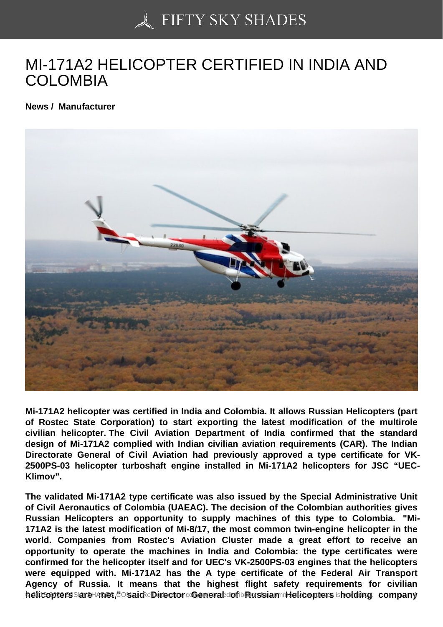## [MI-171A2 HELICOPTE](https://50skyshades.com)R CERTIFIED IN INDIA AND COLOMBIA

News / Manufacturer

Mi-171A2 helicopter was certified in India and Colombia. It allows Russian Helicopters (part of Rostec State Corporation) to start exporting the latest modification of the multirole civilian helicopter. The Civil Aviation Department of India confirmed that the standard design of Mi-171A2 complied with Indian civilian aviation requirements (CAR). The Indian Directorate General of Civil Aviation had previously approved a type certificate for VK-2500PS-03 helicopter turboshaft engine installed in Mi-171A2 helicopters for JSC "UEC-Klimov".

The validated Mi-171A2 type certificate was also issued by the Special Administrative Unit of Civil Aeronautics of Colombia (UAEAC). The decision of the Colombian authorities gives Russian Helicopters an opportunity to supply machines of this type to Colombia. "Mi-171A2 is the latest modification of Mi-8/17, the most common twin-engine helicopter in the world. Companies from Rostec's Aviation Cluster made a great effort to receive an opportunity to operate the machines in India and Colombia: the type certificates were confirmed for the helicopter itself and for UEC's VK-2500PS-03 engines that the helicopters were equipped with. Mi-171A2 has the A type certificate of the Federal Air Transport Agency of Russia. It means that the highest flight safety requirements for civilian helicopters are shing ts. Comid-Birector General ordination Helicopters pholding chiompany and reproduction for